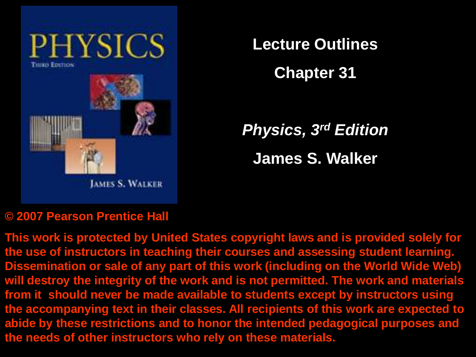

**Lecture Outlines**

**Chapter 31**

*Physics, 3rd Edition* **James S. Walker**

#### **© 2007 Pearson Prentice Hall**

**This work is protected by United States copyright laws and is provided solely for the use of instructors in teaching their courses and assessing student learning. Dissemination or sale of any part of this work (including on the World Wide Web) will destroy the integrity of the work and is not permitted. The work and materials from it should never be made available to students except by instructors using the accompanying text in their classes. All recipients of this work are expected to abide by these restrictions and to honor the intended pedagogical purposes and the needs of other instructors who rely on these materials.**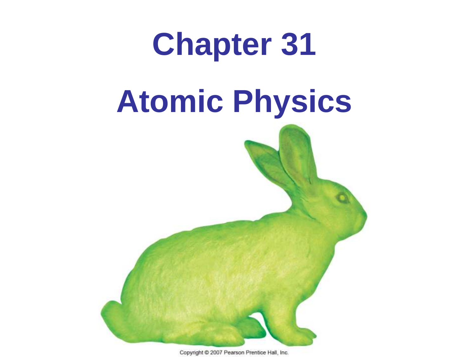

Copyright @ 2007 Pearson Prentice Hall, Inc.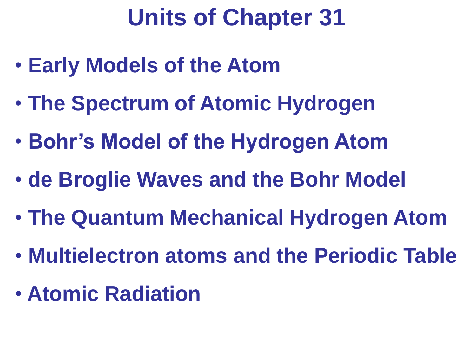# **Units of Chapter 31**

- **Early Models of the Atom**
- **The Spectrum of Atomic Hydrogen**
- **Bohr's Model of the Hydrogen Atom**
- **de Broglie Waves and the Bohr Model**
- **The Quantum Mechanical Hydrogen Atom**
- **Multielectron atoms and the Periodic Table**
- **Atomic Radiation**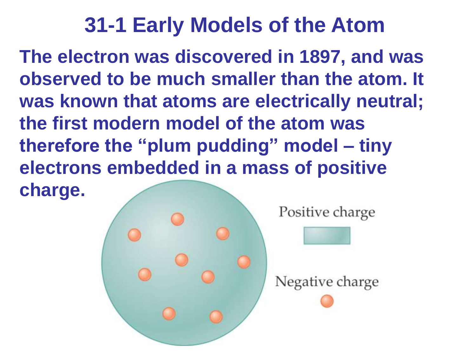**The electron was discovered in 1897, and was observed to be much smaller than the atom. It was known that atoms are electrically neutral; the first modern model of the atom was therefore the "plum pudding" model – tiny electrons embedded in a mass of positive charge.**

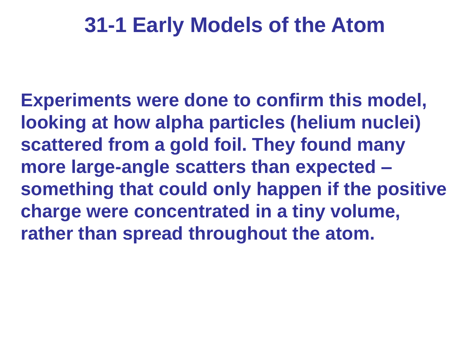**Experiments were done to confirm this model, looking at how alpha particles (helium nuclei) scattered from a gold foil. They found many more large-angle scatters than expected – something that could only happen if the positive charge were concentrated in a tiny volume, rather than spread throughout the atom.**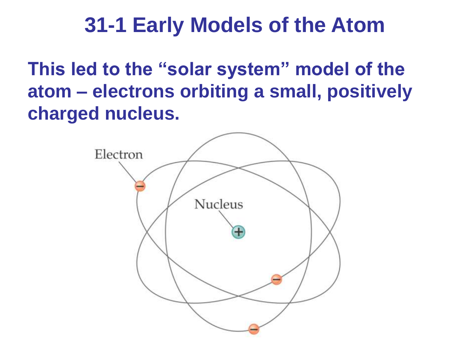**This led to the "solar system" model of the atom – electrons orbiting a small, positively charged nucleus.**

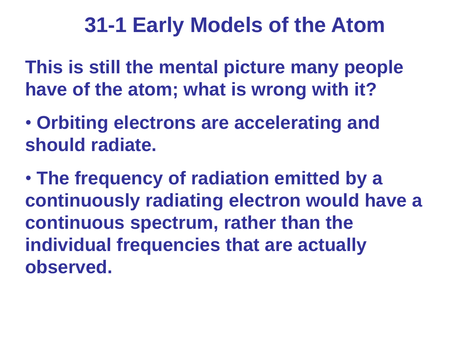**This is still the mental picture many people have of the atom; what is wrong with it?**

• **Orbiting electrons are accelerating and should radiate.**

• **The frequency of radiation emitted by a continuously radiating electron would have a continuous spectrum, rather than the individual frequencies that are actually observed.**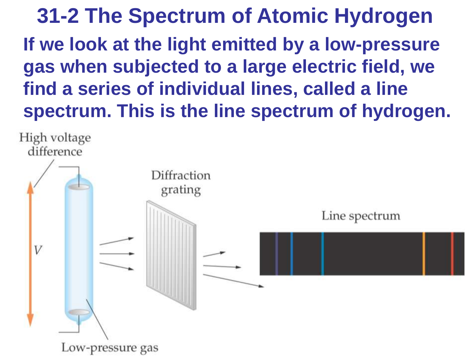**31-2 The Spectrum of Atomic Hydrogen If we look at the light emitted by a low-pressure gas when subjected to a large electric field, we find a series of individual lines, called a line spectrum. This is the line spectrum of hydrogen.**

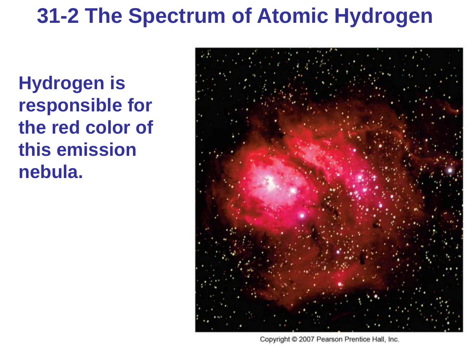**Hydrogen is responsible for the red color of this emission nebula.**



Copyright © 2007 Pearson Prentice Hall, Inc.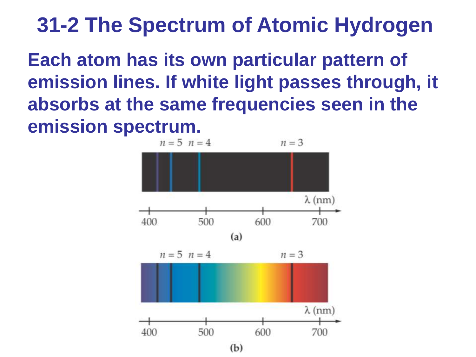**Each atom has its own particular pattern of emission lines. If white light passes through, it absorbs at the same frequencies seen in the emission spectrum.**

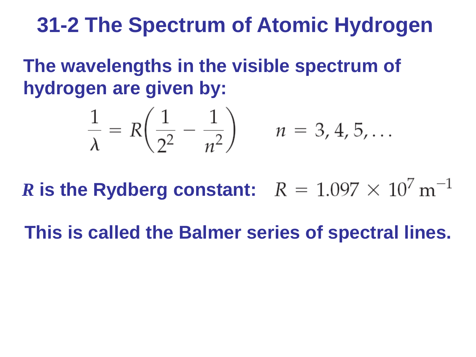**The wavelengths in the visible spectrum of hydrogen are given by:**

$$
\frac{1}{\lambda} = R\left(\frac{1}{2^2} - \frac{1}{n^2}\right) \qquad n = 3, 4, 5, ...
$$

*R* is the Rydberg constant:  $R = 1.097 \times 10^7 \text{ m}^{-1}$ 

**This is called the Balmer series of spectral lines.**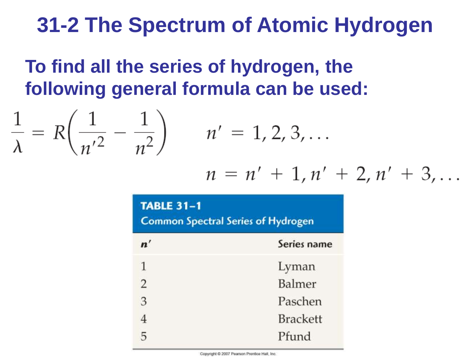### **To find all the series of hydrogen, the following general formula can be used:**

$$
\frac{1}{\lambda} = R\left(\frac{1}{n'^2} - \frac{1}{n^2}\right) \qquad n' = 1, 2, 3, ...
$$

 $\sim$ 

 $\sqrt{1}$ 

1

$$
n = n' + 1, n' + 2, n' + 3, \ldots
$$

#### **TABLE 31-1**

**Common Spectral Series of Hydrogen** 

| $\mathbf{n}'$  | Series name     |
|----------------|-----------------|
| $\mathbf{1}$   | Lyman           |
| $\overline{2}$ | Balmer          |
| 3              | Paschen         |
|                | <b>Brackett</b> |
| 5              | Pfund           |

Copyright @ 2007 Pearson Prentice Hall, Inc.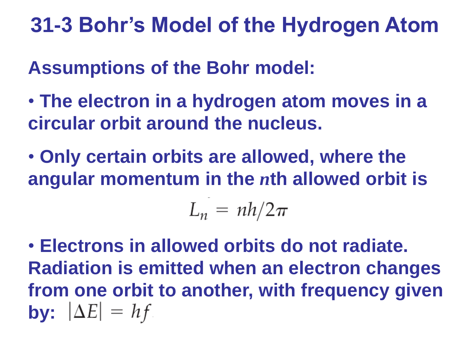**Assumptions of the Bohr model:**

- **The electron in a hydrogen atom moves in a circular orbit around the nucleus.**
- **Only certain orbits are allowed, where the angular momentum in the** *n***th allowed orbit is**

 $L_n = nh/2\pi$ 

• **Electrons in allowed orbits do not radiate. Radiation is emitted when an electron changes from one orbit to another, with frequency given by:**  $|\Delta E| = hf$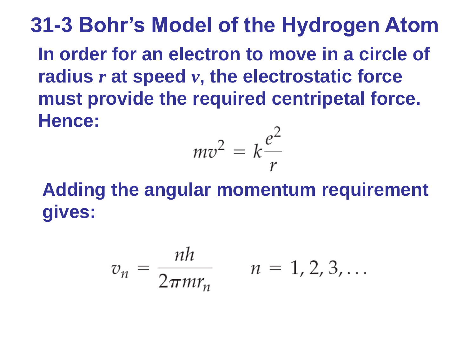**31-3 Bohr's Model of the Hydrogen Atom In order for an electron to move in a circle of radius** *r* **at speed** *v***, the electrostatic force must provide the required centripetal force. Hence:** C

$$
mv^2 = k\frac{e^2}{r}
$$

**Adding the angular momentum requirement gives:**

$$
v_n = \frac{nh}{2\pi m r_n} \qquad n = 1, 2, 3, \dots
$$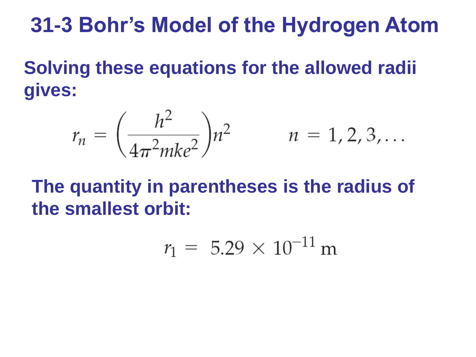**Solving these equations for the allowed radii gives:**

$$
r_n = \left(\frac{h^2}{4\pi^2 m k e^2}\right) n^2 \qquad n = 1, 2, 3, ...
$$

**The quantity in parentheses is the radius of the smallest orbit:**

$$
r_1 = 5.29 \times 10^{-11} \,\mathrm{m}
$$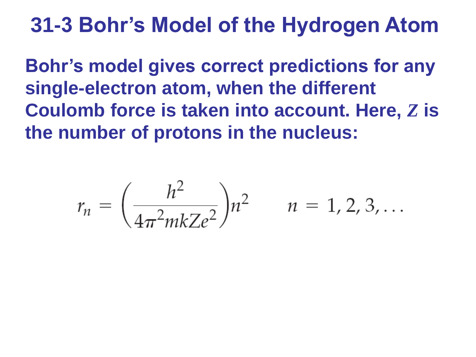**Bohr's model gives correct predictions for any single-electron atom, when the different Coulomb force is taken into account. Here,** *Z* **is the number of protons in the nucleus:**

$$
r_n = \left(\frac{h^2}{4\pi^2 m k Z e^2}\right) n^2 \qquad n = 1, 2, 3, ...
$$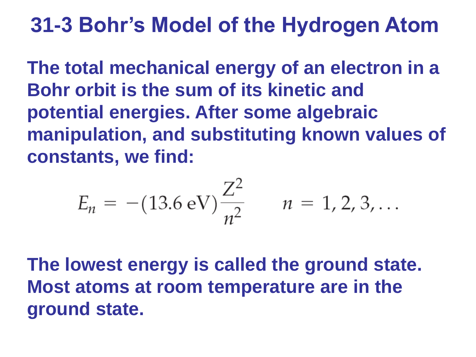**The total mechanical energy of an electron in a Bohr orbit is the sum of its kinetic and potential energies. After some algebraic manipulation, and substituting known values of constants, we find:**

$$
E_n = -(13.6 \text{ eV}) \frac{Z^2}{n^2} \qquad n = 1, 2, 3, ...
$$

**The lowest energy is called the ground state. Most atoms at room temperature are in the ground state.**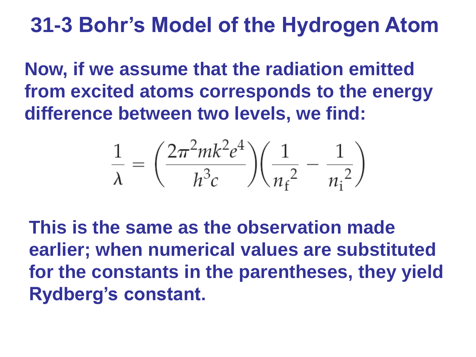**Now, if we assume that the radiation emitted from excited atoms corresponds to the energy difference between two levels, we find:**

$$
\frac{1}{\lambda} = \left(\frac{2\pi^2 mk^2 e^4}{h^3 c}\right) \left(\frac{1}{n_{\rm f}^2} - \frac{1}{n_{\rm i}^2}\right)
$$

**This is the same as the observation made earlier; when numerical values are substituted for the constants in the parentheses, they yield Rydberg's constant.**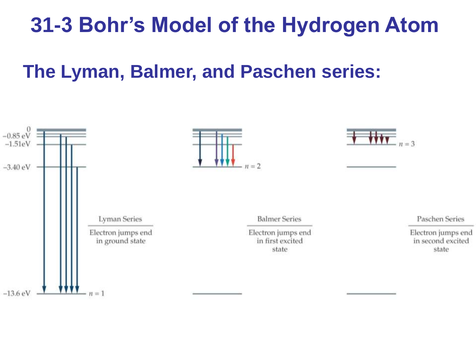#### **The Lyman, Balmer, and Paschen series:**

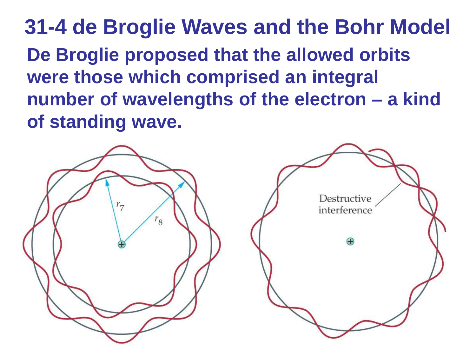**31-4 de Broglie Waves and the Bohr Model De Broglie proposed that the allowed orbits were those which comprised an integral number of wavelengths of the electron – a kind of standing wave.**

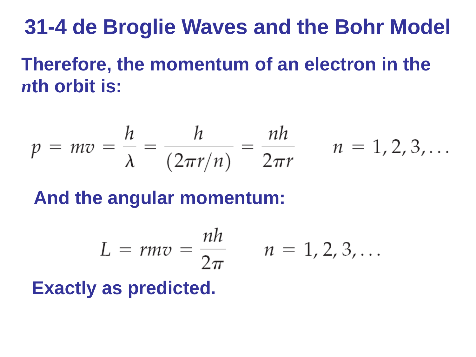# **31-4 de Broglie Waves and the Bohr Model**

**Therefore, the momentum of an electron in the**  *n***th orbit is:**

$$
p = mv = \frac{h}{\lambda} = \frac{h}{(2\pi r/n)} = \frac{nh}{2\pi r} \qquad n = 1, 2, 3, ...
$$

**And the angular momentum:**

$$
L = rmv = \frac{nh}{2\pi} \qquad n = 1, 2, 3, \ldots
$$

**Exactly as predicted.**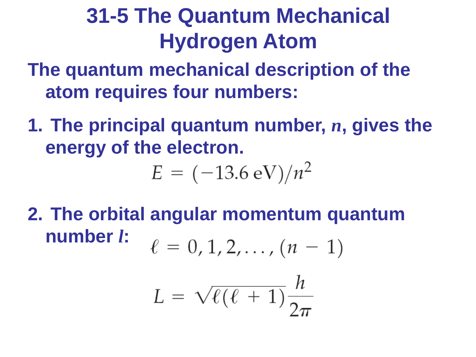**The quantum mechanical description of the atom requires four numbers:**

**1. The principal quantum number,** *n***, gives the energy of the electron.**

$$
E = (-13.6 \text{ eV})/n^2
$$

**2. The orbital angular momentum quantum number** *l***:** $\ell = 0, 1, 2, \ldots, (n - 1)$ 

$$
L = \sqrt{\ell(\ell+1)}\frac{h}{2\pi}
$$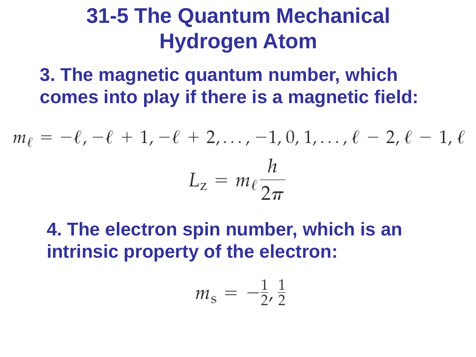**3. The magnetic quantum number, which comes into play if there is a magnetic field:**

$$
m_{\ell} = -\ell, -\ell + 1, -\ell + 2, \dots, -1, 0, 1, \dots, \ell - 2, \ell - 1, \ell
$$

$$
L_{z} = m_{\ell} \frac{h}{2\pi}
$$

**4. The electron spin number, which is an intrinsic property of the electron:**

$$
m_{\rm s} = -\frac{1}{2}, \frac{1}{2}
$$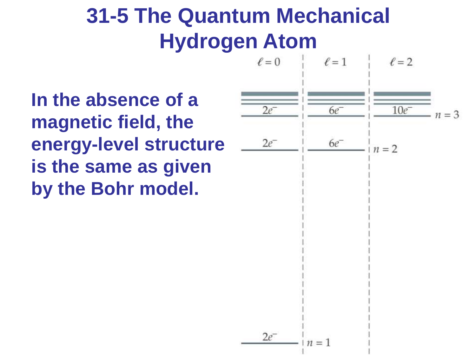**In the absence of a magnetic field, the energy-level structure is the same as given by the Bohr model.**



$$
2e^- \qquad | n = 1
$$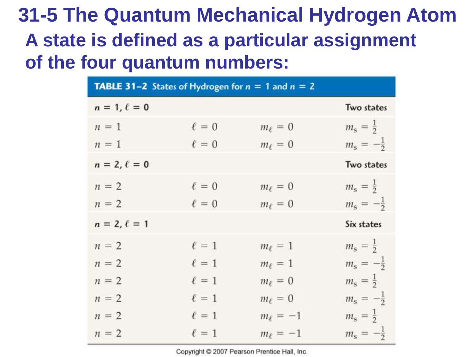## **31-5 The Quantum Mechanical Hydrogen Atom A state is defined as a particular assignment of the four quantum numbers:**

| <b>TABLE 31-2</b> States of Hydrogen for $n = 1$ and $n = 2$ |            |               |                            |
|--------------------------------------------------------------|------------|---------------|----------------------------|
| $n = 1, \ell = 0$                                            |            |               | Two states                 |
| $n = 1$                                                      | $\ell = 0$ | $m_{\ell}=0$  | $m_{\rm s} = \frac{1}{2}$  |
| $n = 1$                                                      | $\ell = 0$ | $m_{\ell}=0$  | $m_{\rm s} = -\frac{1}{2}$ |
| $n = 2, \ell = 0$                                            |            |               | Two states                 |
| $n = 2$                                                      | $\ell = 0$ | $m_{\ell}=0$  | $m_{\rm s} = \frac{1}{2}$  |
| $n = 2$                                                      | $\ell = 0$ | $m_{\ell}=0$  | $m_{\rm s} = -\frac{1}{2}$ |
| $n = 2, \ell = 1$                                            |            |               | Six states                 |
| $n = 2$                                                      | $\ell = 1$ | $m_{\ell}=1$  | $m_{\rm s} = \frac{1}{2}$  |
| $n = 2$                                                      | $\ell = 1$ | $m_{\ell}=1$  | $m_{\rm s} = -\frac{1}{2}$ |
| $n = 2$                                                      | $\ell = 1$ | $m_{\ell}=0$  | $m_{\rm s} = \frac{1}{2}$  |
| $n = 2$                                                      | $\ell = 1$ | $m_{\ell}=0$  | $m_{\rm s} = -\frac{1}{2}$ |
| $n = 2$                                                      | $\ell = 1$ | $m_{\ell}=-1$ | $m_{\rm s} = \frac{1}{2}$  |
| $n = 2$                                                      | $\ell = 1$ | $m_{\ell}=-1$ | $m_{\rm s} = -\frac{1}{2}$ |

Copyright @ 2007 Pearson Prentice Hall, Inc.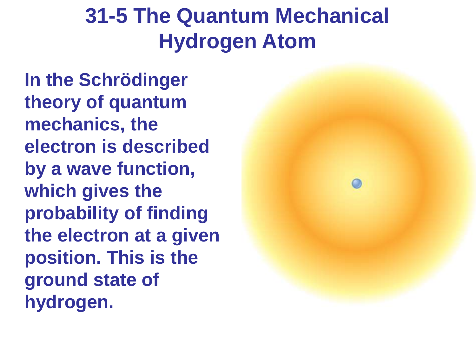**In the Schrödinger theory of quantum mechanics, the electron is described by a wave function, which gives the probability of finding the electron at a given position. This is the ground state of hydrogen.**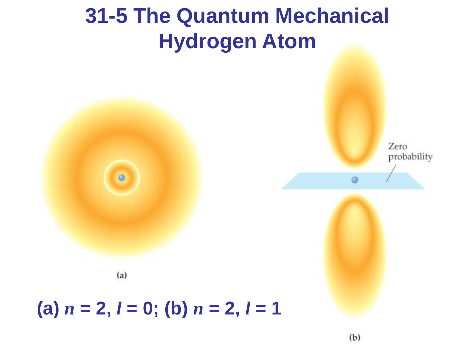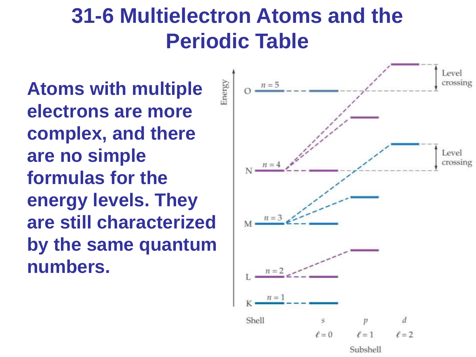**Atoms with multiple electrons are more complex, and there are no simple formulas for the energy levels. They are still characterized by the same quantum numbers.**



Subshell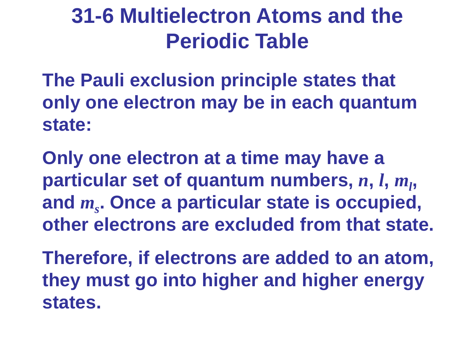**The Pauli exclusion principle states that only one electron may be in each quantum state:**

**Only one electron at a time may have a particular set of quantum numbers,** *n***,** *l***,** *m<sup>l</sup>* **, and** *m<sup>s</sup>* **. Once a particular state is occupied, other electrons are excluded from that state.**

**Therefore, if electrons are added to an atom, they must go into higher and higher energy states.**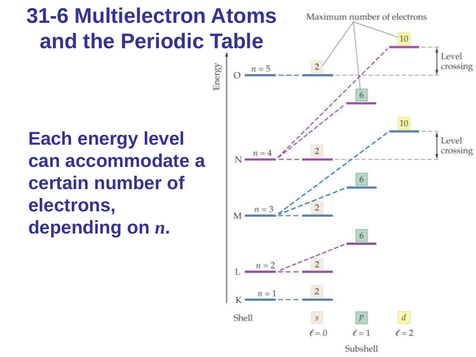**Each energy level can accommodate a certain number of electrons, depending on** *n***.** 

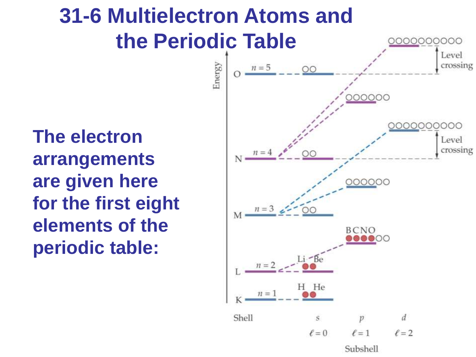**The electron arrangements are given here for the first eight elements of the periodic table:**

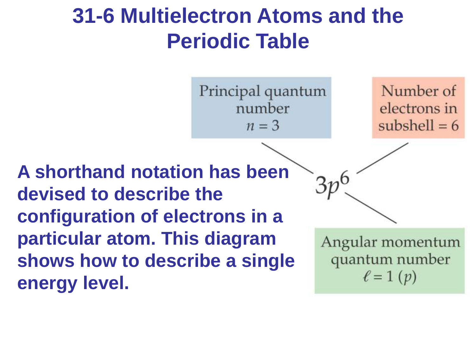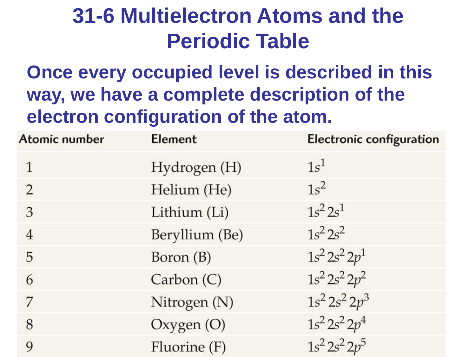**Once every occupied level is described in this way, we have a complete description of the electron configuration of the atom.**

| Atomic number  | Element        | Electronic configuration |
|----------------|----------------|--------------------------|
|                | Hydrogen (H)   | $1s^1$                   |
| 2              | Helium (He)    | $1s^2$                   |
| 3              | Lithium (Li)   | $1s^2 2s^1$              |
| $\overline{4}$ | Beryllium (Be) | $1s^2 2s^2$              |
| 5              | Boron (B)      | $1s^2 2s^2 2p^1$         |
| 6              | Carbon (C)     | $1s^2 2s^2 2p^2$         |
| 7              | Nitrogen (N)   | $1s^2 2s^2 2p^3$         |
| 8              | Oxygen $(O)$   | $1s^2 2s^2 2p^4$         |
| 9              | Fluorine (F)   | $1s^2 2s^2 2p^5$         |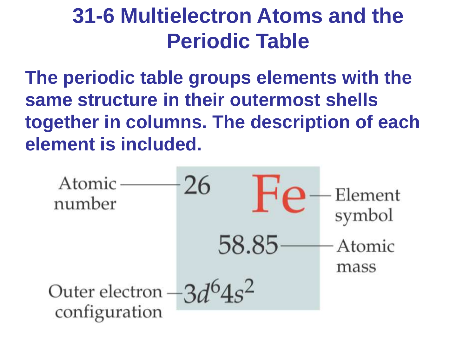**The periodic table groups elements with the same structure in their outermost shells together in columns. The description of each element is included.**

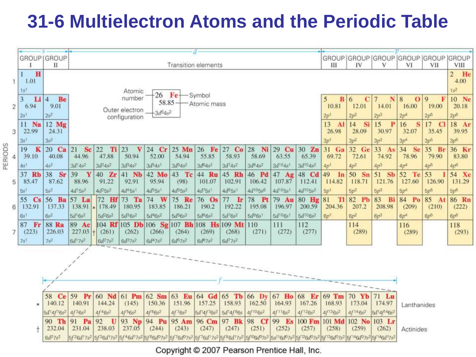|                                                                                                                                                                         |                                                                                                                                                                                                                                                                                                                                                                 |                                  | - 5<br>GROUP   GROUP | GROUP GROUP GROUP GROUP GROUP GROUP                                                                                                                                                                                                                                                                                                                                                                                                                                                                                            |                                                                                                                                       |                                          |                                  |                            |                                           |                      |                   |                                  |                                            |                             |                   |                      |                              |                       |                          |
|-------------------------------------------------------------------------------------------------------------------------------------------------------------------------|-----------------------------------------------------------------------------------------------------------------------------------------------------------------------------------------------------------------------------------------------------------------------------------------------------------------------------------------------------------------|----------------------------------|----------------------|--------------------------------------------------------------------------------------------------------------------------------------------------------------------------------------------------------------------------------------------------------------------------------------------------------------------------------------------------------------------------------------------------------------------------------------------------------------------------------------------------------------------------------|---------------------------------------------------------------------------------------------------------------------------------------|------------------------------------------|----------------------------------|----------------------------|-------------------------------------------|----------------------|-------------------|----------------------------------|--------------------------------------------|-----------------------------|-------------------|----------------------|------------------------------|-----------------------|--------------------------|
|                                                                                                                                                                         | $\mathbf{I}$<br>Transition elements                                                                                                                                                                                                                                                                                                                             |                                  |                      |                                                                                                                                                                                                                                                                                                                                                                                                                                                                                                                                |                                                                                                                                       |                                          |                                  |                            |                                           | Ш                    | IV                | v                                | VI                                         | VII                         | VIII              |                      |                              |                       |                          |
|                                                                                                                                                                         |                                                                                                                                                                                                                                                                                                                                                                 | H                                |                      |                                                                                                                                                                                                                                                                                                                                                                                                                                                                                                                                |                                                                                                                                       |                                          |                                  |                            |                                           |                      |                   |                                  |                                            |                             |                   | $\overline{2}$<br>He |                              |                       |                          |
|                                                                                                                                                                         |                                                                                                                                                                                                                                                                                                                                                                 | 1.01                             |                      |                                                                                                                                                                                                                                                                                                                                                                                                                                                                                                                                |                                                                                                                                       |                                          |                                  |                            |                                           |                      |                   |                                  |                                            |                             |                   |                      |                              |                       | 4.00                     |
|                                                                                                                                                                         | 1s                                                                                                                                                                                                                                                                                                                                                              |                                  |                      |                                                                                                                                                                                                                                                                                                                                                                                                                                                                                                                                | Atomic<br>$-26$<br>Fe-<br>- Symbol<br>5                                                                                               |                                          |                                  |                            |                                           |                      |                   |                                  |                                            |                             |                   |                      |                              |                       | $1s^2$                   |
|                                                                                                                                                                         | $\overline{3}$                                                                                                                                                                                                                                                                                                                                                  | $Li$ 4<br>6.94                   | Be<br>9.01           |                                                                                                                                                                                                                                                                                                                                                                                                                                                                                                                                | number<br>$58.85 -$<br>Atomic mass                                                                                                    |                                          |                                  |                            |                                           |                      |                   |                                  |                                            |                             | B 6<br>C<br>12.01 | N<br>14.01           | O <sub>9</sub><br>8<br>16.00 | F<br>19.00            | 10 Ne<br>20.18           |
| $\overline{c}$                                                                                                                                                          | 2s <sup>1</sup>                                                                                                                                                                                                                                                                                                                                                 |                                  | $2s^2$               | Outer electron<br>$-3d^{6}4s^{2}$                                                                                                                                                                                                                                                                                                                                                                                                                                                                                              |                                                                                                                                       |                                          |                                  |                            |                                           |                      |                   |                                  | 10.81<br>2p <sup>1</sup>                   | $2p^2$                      | 2p <sup>3</sup>   | 2p <sup>4</sup>      | $2p^5$                       | 2p <sub>0</sub>       |                          |
|                                                                                                                                                                         | 11                                                                                                                                                                                                                                                                                                                                                              | Na                               | 12 Mg                |                                                                                                                                                                                                                                                                                                                                                                                                                                                                                                                                | configuration                                                                                                                         |                                          |                                  |                            |                                           |                      |                   |                                  |                                            | 13<br>$\mathbf{A}$          | Si<br>14          | 15<br>$\mathbf{P}$   | S<br>16                      | 17<br>$\mathbf{C}$    | 18 Ar                    |
| 3                                                                                                                                                                       |                                                                                                                                                                                                                                                                                                                                                                 | 22.99                            | 24.31                |                                                                                                                                                                                                                                                                                                                                                                                                                                                                                                                                |                                                                                                                                       |                                          |                                  |                            |                                           |                      |                   |                                  |                                            | 26.98                       | 28.09             | 30.97                | 32.07                        | 35.45                 | 39.95                    |
|                                                                                                                                                                         | 3s                                                                                                                                                                                                                                                                                                                                                              |                                  | 3s <sup>2</sup>      |                                                                                                                                                                                                                                                                                                                                                                                                                                                                                                                                | $3p^2$<br>3p <sup>1</sup>                                                                                                             |                                          |                                  |                            |                                           |                      |                   |                                  |                                            | $3p^3$                      | $3p^4$            | 3p <sup>5</sup>      | 3p <sub>6</sub>              |                       |                          |
| PERIODS                                                                                                                                                                 | 19                                                                                                                                                                                                                                                                                                                                                              | K                                | 20 Ca                | 21<br>Sc                                                                                                                                                                                                                                                                                                                                                                                                                                                                                                                       | 32 Ge<br>31 Ga<br>33<br>22<br>Ti<br> 23<br>24 Cr<br>25 Mn<br> 26 <br>$27$ Co<br>28<br>Ni  <br>29 Cu<br>$30 \quad Zn$<br>v<br>Fe<br>As |                                          |                                  |                            |                                           |                      |                   |                                  | 34<br><b>Se</b>                            | 35 Br                       | 36 Kr             |                      |                              |                       |                          |
| 4                                                                                                                                                                       |                                                                                                                                                                                                                                                                                                                                                                 | 39.10                            | 40.08                | 44.96                                                                                                                                                                                                                                                                                                                                                                                                                                                                                                                          | 47.88                                                                                                                                 | 50.94                                    | 52.00                            | 54.94                      | 55.85                                     | 58.93                | 58.69             | 63.55                            | 65.39                                      | 69.72                       | 72.61             | 74.92                | 78.96                        | 79.90                 | 83.80                    |
|                                                                                                                                                                         | 4s <sup>1</sup>                                                                                                                                                                                                                                                                                                                                                 |                                  | $4s^2$               | $3d^{1}4s^{2}$                                                                                                                                                                                                                                                                                                                                                                                                                                                                                                                 | $3d^24s^2$                                                                                                                            | $3d^{3}4s^{2}$                           | $3d^{5}4s^{1}$                   | $3d^{5}4s^{2}$             | $3d^54s^2$                                | $3d^{7}4s^{2}$       | $3d^{8}4s^{2}$    | $3d^{10}4s$ <sup>1</sup>         | $3d^{10}4s^2$                              | $4p$ <sup>t</sup>           | $4p^2$            | 4p <sup>3</sup>      | 4p <sup>2</sup>              | 4p <sup>5</sup>       | 4p <sub>0</sub>          |
|                                                                                                                                                                         | 37                                                                                                                                                                                                                                                                                                                                                              | <b>Rb</b>                        | 38<br>Sr             | 39<br>Y                                                                                                                                                                                                                                                                                                                                                                                                                                                                                                                        | 40 Zr                                                                                                                                 | 41 Nb                                    | 42 Mo                            | 43 Tc                      | 44 Ru                                     | 45 Rh                | 46 Pd             | 47 Ag                            | 48 Cd                                      | 49<br>In                    | 50 Sn             | 51 Sb                | 52<br>Te                     | 53                    | 54 Xe                    |
| 5                                                                                                                                                                       |                                                                                                                                                                                                                                                                                                                                                                 | 85.47                            | 87.62<br>$5s^2$      | 88.96<br>$4d^{1}5s^{2}$                                                                                                                                                                                                                                                                                                                                                                                                                                                                                                        | 91.22<br>$4d^25s^2$                                                                                                                   | 92.91<br>4d <sup>4</sup> 5s <sup>1</sup> | 95.94<br>$4d^{5}5s$ <sup>1</sup> | (98)<br>4d <sup>5552</sup> | 101.07<br>4d <sup>7</sup> 5s <sup>1</sup> | 102.91<br>$4d^35s^1$ | 106.42<br>4d105s6 | 107.87<br>4d <sup>10581</sup>    | 112.41<br>4d <sup>10</sup> 5s <sup>2</sup> | 114.82                      | 118.71            | 121.76               | 127.60                       | 126.90                | 131.29                   |
|                                                                                                                                                                         | 5s <sup>1</sup><br>55                                                                                                                                                                                                                                                                                                                                           |                                  | 56 Ba                | 57 La                                                                                                                                                                                                                                                                                                                                                                                                                                                                                                                          | 72 Hf                                                                                                                                 | 73 Ta                                    | 74 W                             |                            |                                           | 77                   | 78 Pt             |                                  |                                            | 5p <sup>1</sup><br>81<br>TI | $5p^2$<br>82 Pb   | $5p^3$<br>83         | 5p <sup>4</sup><br>84 Po     | 5p <sup>5</sup><br>85 | 5p <sub>0</sub><br>86 Rn |
| 6                                                                                                                                                                       |                                                                                                                                                                                                                                                                                                                                                                 | $\mathbf{C}\mathbf{s}$<br>132.91 | 137.33               | 138.91                                                                                                                                                                                                                                                                                                                                                                                                                                                                                                                         | 178.49                                                                                                                                | 180.95                                   | 183.85                           | 75 Re<br>186.21            | 76 Os<br>190.2                            | <b>I</b> r<br>192.22 | 195.08            | 79 Au<br>196.97                  | 80 Hg<br>200.59                            | 204.36                      | 207.2             | Bi<br>208.98         | (209)                        | A<br>(210)            | (222)                    |
|                                                                                                                                                                         | 6s                                                                                                                                                                                                                                                                                                                                                              |                                  | $6s^2$               | $5d^{1}6s^{2}$                                                                                                                                                                                                                                                                                                                                                                                                                                                                                                                 | $5d^26s^2$                                                                                                                            | $5d^36s^2$                               | $5d^{4}6s^{2}$                   | $5d^56s^2$                 | $5d^66s^2$                                | $5d^{7}6s^{2}$       | $5d^{9}6s^{1}$    | 5d <sup>10</sup> 6s <sup>1</sup> | $5d^{10}6s^2$                              | 6p <sup>1</sup>             | $6p^2$            | $6p^3$               | $6p^4$                       | $6v^5$                | $6p^6$                   |
|                                                                                                                                                                         | 87                                                                                                                                                                                                                                                                                                                                                              | Fr                               | <b>88 Ra</b>         | 89 Ac<br>104 Rf 105 Db 106 Sg 107 Bh 108 Hs<br>109 Mt                                                                                                                                                                                                                                                                                                                                                                                                                                                                          |                                                                                                                                       |                                          |                                  |                            |                                           |                      | 110               | 111                              | 112                                        |                             | 114               |                      | 116                          |                       | 118                      |
| 7                                                                                                                                                                       |                                                                                                                                                                                                                                                                                                                                                                 | (223)                            | 226.03               | 227.03                                                                                                                                                                                                                                                                                                                                                                                                                                                                                                                         | (261)<br>ŀ÷                                                                                                                           | (262)                                    | (266)                            | (264)                      | (269)                                     | (268)                | (271)             | (272)                            | (277)                                      |                             | (289)             |                      | (289)                        |                       | (293)                    |
|                                                                                                                                                                         | 7s <sup>1</sup>                                                                                                                                                                                                                                                                                                                                                 |                                  | $7s^2$               | $6d^{17s^{2}}$                                                                                                                                                                                                                                                                                                                                                                                                                                                                                                                 | $6d^27s^2$                                                                                                                            | $6d^{3}7s^{2}$                           | $6d^{4}7s^{2}$                   | $6d^{5}7s^{2}$             | 6d <sup>6</sup> 7s <sup>2</sup>           | $6d^77s^2$           |                   |                                  |                                            |                             |                   |                      |                              |                       |                          |
|                                                                                                                                                                         |                                                                                                                                                                                                                                                                                                                                                                 |                                  |                      |                                                                                                                                                                                                                                                                                                                                                                                                                                                                                                                                |                                                                                                                                       |                                          |                                  |                            |                                           |                      |                   |                                  |                                            |                             |                   |                      |                              |                       |                          |
|                                                                                                                                                                         |                                                                                                                                                                                                                                                                                                                                                                 |                                  |                      |                                                                                                                                                                                                                                                                                                                                                                                                                                                                                                                                |                                                                                                                                       |                                          |                                  |                            |                                           |                      |                   |                                  |                                            |                             |                   |                      |                              |                       |                          |
|                                                                                                                                                                         |                                                                                                                                                                                                                                                                                                                                                                 |                                  |                      |                                                                                                                                                                                                                                                                                                                                                                                                                                                                                                                                |                                                                                                                                       |                                          |                                  |                            |                                           |                      |                   |                                  |                                            |                             |                   |                      |                              |                       |                          |
|                                                                                                                                                                         |                                                                                                                                                                                                                                                                                                                                                                 |                                  |                      |                                                                                                                                                                                                                                                                                                                                                                                                                                                                                                                                |                                                                                                                                       |                                          |                                  |                            |                                           |                      |                   |                                  |                                            |                             |                   |                      |                              |                       |                          |
|                                                                                                                                                                         |                                                                                                                                                                                                                                                                                                                                                                 |                                  |                      |                                                                                                                                                                                                                                                                                                                                                                                                                                                                                                                                |                                                                                                                                       |                                          |                                  |                            |                                           |                      |                   |                                  |                                            |                             |                   |                      |                              |                       |                          |
| 59 Pr<br>60 Nd<br>61 Pm<br>62 Sm<br>63 Eu<br>64 Gd<br>$65$ Tb<br>67 Ho<br>68<br>69 Tm<br>58<br>66 Dy<br>Er<br>70 Yb<br>$71$ Lu<br>Ce                                    |                                                                                                                                                                                                                                                                                                                                                                 |                                  |                      |                                                                                                                                                                                                                                                                                                                                                                                                                                                                                                                                |                                                                                                                                       |                                          |                                  |                            |                                           |                      |                   |                                  |                                            |                             |                   |                      |                              |                       |                          |
| 157.25<br>140.12<br>144.24<br>151.96<br>158.93<br>162.50<br>164.93<br>167.26<br>173.04<br>140.91<br>(145)<br>150.36<br>168.93<br>174.97<br>$\frac{m}{N}$<br>Lanthanides |                                                                                                                                                                                                                                                                                                                                                                 |                                  |                      |                                                                                                                                                                                                                                                                                                                                                                                                                                                                                                                                |                                                                                                                                       |                                          |                                  |                            |                                           |                      |                   |                                  |                                            |                             |                   |                      |                              |                       |                          |
|                                                                                                                                                                         | $4f^{5}6s^{2}$<br>$4f^{6}6s^{2}$<br>4f76s <sup>2</sup><br>4f <sup>10</sup> 6s <sup>2</sup><br>$4f^{12}6s^2$<br>4f <sup>13</sup> 6s <sup>2</sup><br>$4f^{14}6s^2$<br>$4f^36s^2$<br>$4f^46s^2$<br>5d'4f76s2<br>5d <sup>1</sup> 4f <sup>8</sup> 6s<br>$4f^{11}6s^2$<br>$6d^{1}4f^{14}6s^{2}$<br>$5d$ <sup>1</sup> 4f <sup>1</sup> 6s <sup>2</sup><br>102 No 103 Lr |                                  |                      |                                                                                                                                                                                                                                                                                                                                                                                                                                                                                                                                |                                                                                                                                       |                                          |                                  |                            |                                           |                      |                   |                                  |                                            |                             |                   |                      |                              |                       |                          |
|                                                                                                                                                                         |                                                                                                                                                                                                                                                                                                                                                                 |                                  | 90 Th<br>232.04      | 91 Pa<br>231.04                                                                                                                                                                                                                                                                                                                                                                                                                                                                                                                | 92<br>U<br>238.03                                                                                                                     | 93 Np<br>237.05                          | 94 Pu<br>(244)                   | 95 Am<br>(243)             | 96 Cm<br>(247)                            | 97 Bk<br>(247)       | 98 Cf<br>(251)    | 99 Es<br>(252)                   | 100 Fm<br>(257)                            | 101 Md<br>(258)             | (259)             | (262)                | Actinides                    |                       |                          |
|                                                                                                                                                                         |                                                                                                                                                                                                                                                                                                                                                                 |                                  | $6d^27s^2$           | 5f <sup>2</sup> 6d <sup>1</sup> 7s <sup>2</sup><br>5f46d17s2<br>5f76d07s2<br>$5f^{8}6d^{17}s^{2}$<br>5f <sup>10</sup> 6d <sup>0</sup> 7s <sup>2</sup><br>5/ <sup>146</sup> d <sup>0</sup> 7s <sup>2</sup> 5/ <sup>14</sup> 6d <sup>1</sup> 7s <sup>2</sup><br>5/36d <sup>1</sup> 7s <sup>2</sup><br>5f <sup>6</sup> 6d <sup>0</sup> 7s <sup>2</sup><br>$5f$ <sup>7</sup> 6d <sup>1</sup> 7s <sup>2</sup><br>5s <sup>11</sup> 6d <sup>0</sup> 7s <sup>2</sup><br>5f <sup>12</sup> 6d <sup>0</sup> 7s <sup>2</sup><br>5/136/0752 |                                                                                                                                       |                                          |                                  |                            |                                           |                      |                   |                                  |                                            |                             |                   |                      |                              |                       |                          |
|                                                                                                                                                                         |                                                                                                                                                                                                                                                                                                                                                                 |                                  |                      |                                                                                                                                                                                                                                                                                                                                                                                                                                                                                                                                |                                                                                                                                       |                                          |                                  |                            |                                           |                      |                   |                                  |                                            |                             |                   |                      |                              |                       |                          |

Copyright © 2007 Pearson Prentice Hall, Inc.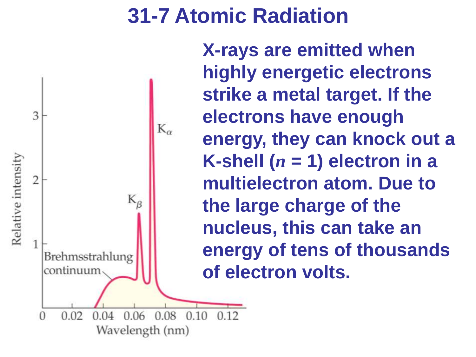$012$ 



**X-rays are emitted when highly energetic electrons strike a metal target. If the electrons have enough energy, they can knock out a K-shell (** $n = 1$ **) electron in a multielectron atom. Due to the large charge of the nucleus, this can take an energy of tens of thousands of electron volts.**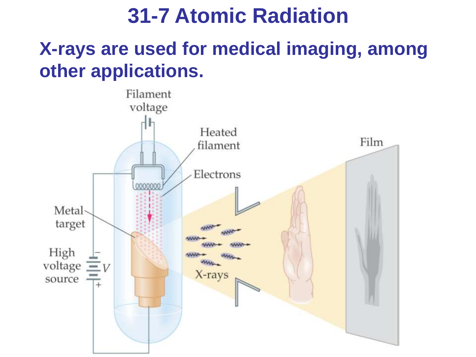### **X-rays are used for medical imaging, among other applications.**

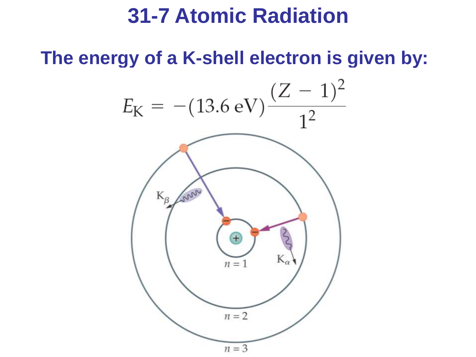**The energy of a K-shell electron is given by:**

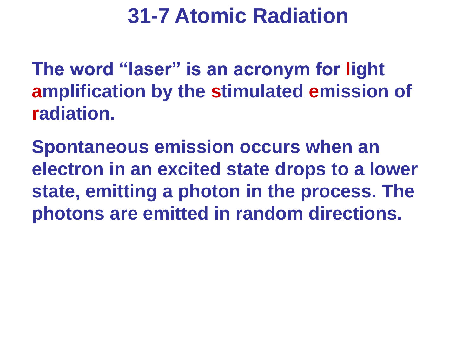**The word "laser" is an acronym for light amplification by the stimulated emission of radiation.**

**Spontaneous emission occurs when an electron in an excited state drops to a lower state, emitting a photon in the process. The photons are emitted in random directions.**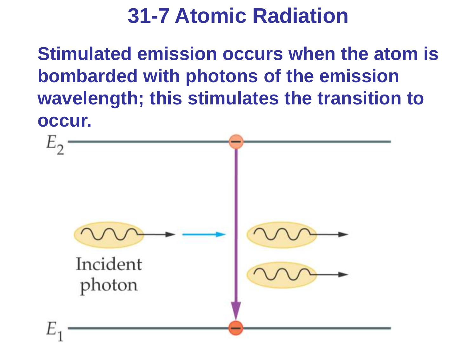**Stimulated emission occurs when the atom is bombarded with photons of the emission wavelength; this stimulates the transition to occur.**

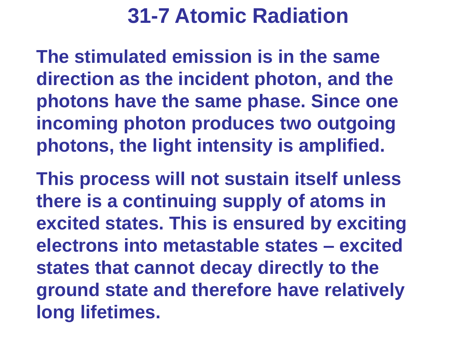**The stimulated emission is in the same direction as the incident photon, and the photons have the same phase. Since one incoming photon produces two outgoing photons, the light intensity is amplified.**

**This process will not sustain itself unless there is a continuing supply of atoms in excited states. This is ensured by exciting electrons into metastable states – excited states that cannot decay directly to the ground state and therefore have relatively long lifetimes.**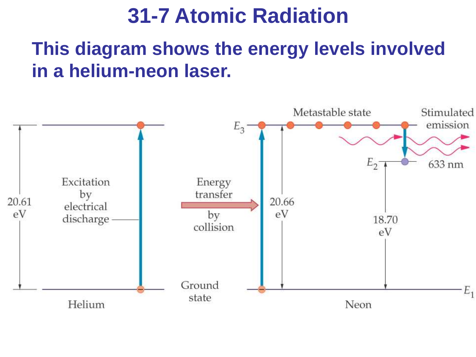#### **This diagram shows the energy levels involved in a helium-neon laser.**

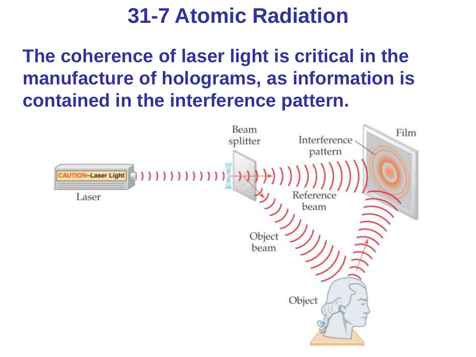**The coherence of laser light is critical in the manufacture of holograms, as information is contained in the interference pattern.**

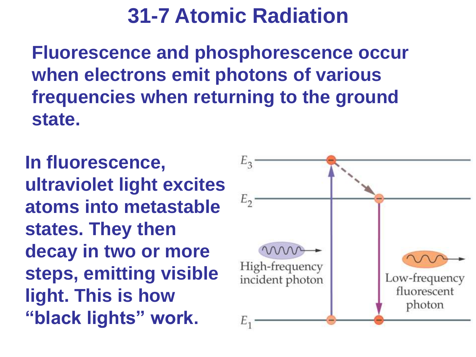**Fluorescence and phosphorescence occur when electrons emit photons of various frequencies when returning to the ground state.**

**In fluorescence, ultraviolet light excites atoms into metastable states. They then decay in two or more steps, emitting visible light. This is how "black lights" work.**

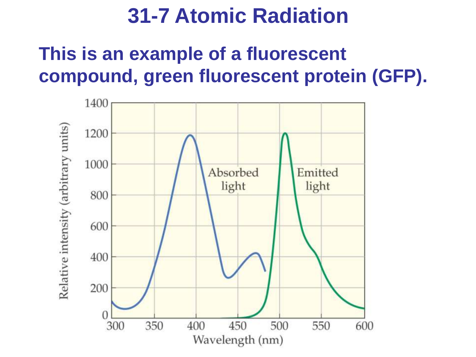### **This is an example of a fluorescent compound, green fluorescent protein (GFP).**

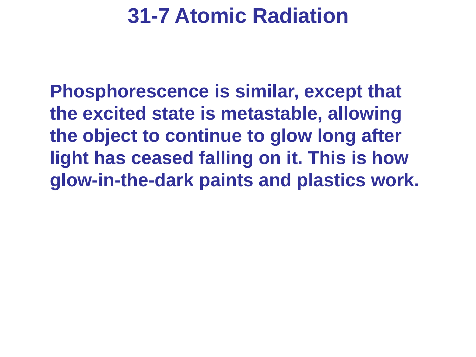**Phosphorescence is similar, except that the excited state is metastable, allowing the object to continue to glow long after light has ceased falling on it. This is how glow-in-the-dark paints and plastics work.**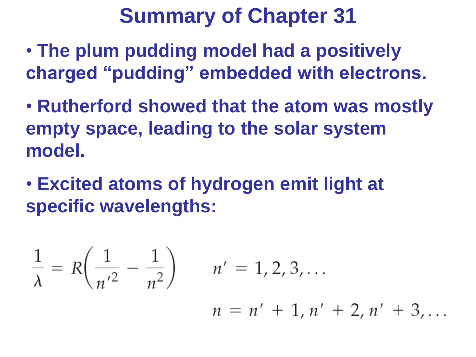- **The plum pudding model had a positively charged "pudding" embedded with electrons.**
- **Rutherford showed that the atom was mostly empty space, leading to the solar system model.**
- **Excited atoms of hydrogen emit light at specific wavelengths:**

$$
\frac{1}{\lambda} = R\left(\frac{1}{n^2} - \frac{1}{n^2}\right) \qquad n' = 1, 2, 3, ...
$$

 $n = n' + 1, n' + 2, n' + 3, \ldots$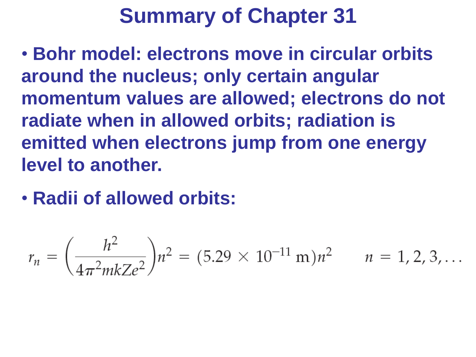• **Bohr model: electrons move in circular orbits around the nucleus; only certain angular momentum values are allowed; electrons do not radiate when in allowed orbits; radiation is emitted when electrons jump from one energy level to another.**

• **Radii of allowed orbits:**

$$
r_n = \left(\frac{h^2}{4\pi^2 m k Z e^2}\right) n^2 = (5.29 \times 10^{-11} \text{ m}) n^2 \qquad n = 1, 2, 3, ...
$$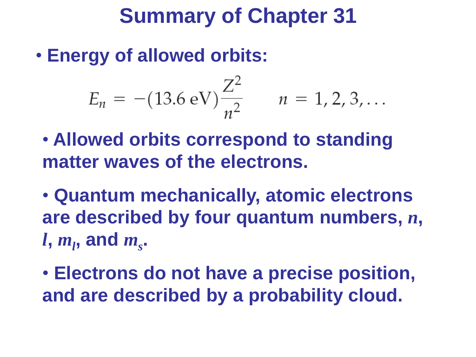• **Energy of allowed orbits:**

$$
E_n = -(13.6 \text{ eV}) \frac{Z^2}{n^2} \qquad n = 1, 2, 3, \dots
$$

- **Allowed orbits correspond to standing matter waves of the electrons.**
- **Quantum mechanically, atomic electrons are described by four quantum numbers,** *n***,**  *l***,** *m<sup>l</sup>* **, and** *m<sup>s</sup>* **.**
- **Electrons do not have a precise position, and are described by a probability cloud.**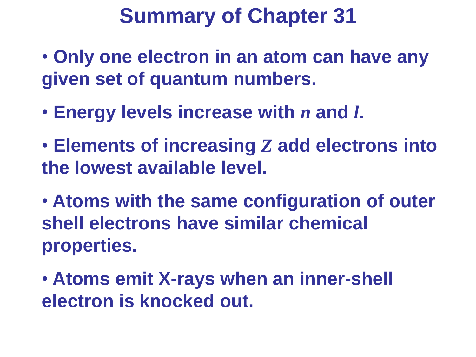- **Only one electron in an atom can have any given set of quantum numbers.**
- **Energy levels increase with** *n* **and** *l***.**
- **Elements of increasing** *Z* **add electrons into the lowest available level.**
- **Atoms with the same configuration of outer shell electrons have similar chemical properties.**
- **Atoms emit X-rays when an inner-shell electron is knocked out.**